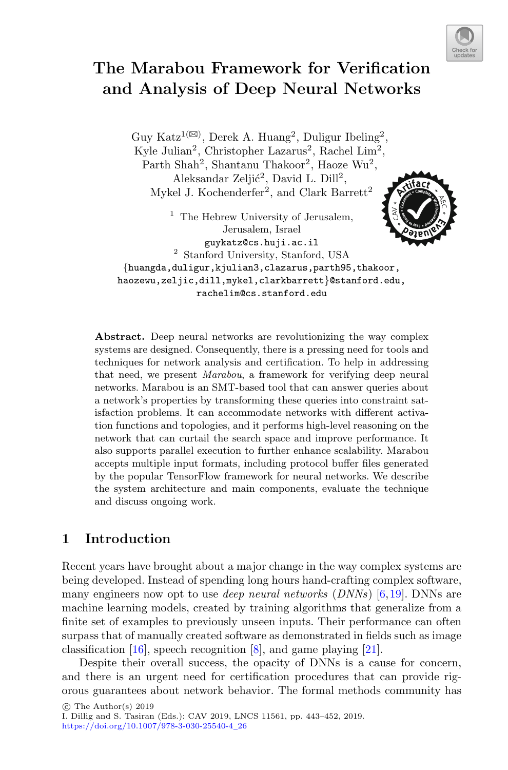

# **The Marabou Framework for Verification and Analysis of Deep Neural Networks**

Guy Katz<sup>1( $\boxtimes$ )</sup>, Derek A. Huang<sup>2</sup>, Duligur Ibeling<sup>2</sup>, Kyle Julian<sup>2</sup>, Christopher Lazarus<sup>2</sup>, Rachel Lim<sup>2</sup>, Parth Shah<sup>2</sup>, Shantanu Thakoor<sup>2</sup>, Haoze Wu<sup>2</sup>, Aleksandar Zeljić<sup>2</sup>, David L. Dill<sup>2</sup>, Mykel J. Kochenderfer<sup>2</sup>, and Clark Barrett<sup>2</sup>

 $<sup>1</sup>$  The Hebrew University of Jerusalem.</sup> Jerusalem, Israel guykatz@cs.huji.ac.il <sup>2</sup> Stanford University, Stanford, USA *{*huangda,duligur,kjulian3,clazarus,parth95,thakoor, haozewu,zeljic,dill,mykel,clarkbarrett*}*@stanford.edu, rachelim@cs.stanford.edu

Abstract. Deep neural networks are revolutionizing the way complex systems are designed. Consequently, there is a pressing need for tools and techniques for network analysis and certification. To help in addressing that need, we present *Marabou*, a framework for verifying deep neural networks. Marabou is an SMT-based tool that can answer queries about a network's properties by transforming these queries into constraint satisfaction problems. It can accommodate networks with different activation functions and topologies, and it performs high-level reasoning on the network that can curtail the search space and improve performance. It also supports parallel execution to further enhance scalability. Marabou accepts multiple input formats, including protocol buffer files generated by the popular TensorFlow framework for neural networks. We describe the system architecture and main components, evaluate the technique and discuss ongoing work.

## **1 Introduction**

Recent years have brought about a major change in the way complex systems are being developed. Instead of spending long hours hand-crafting complex software, many engineers now opt to use *deep neural networks* (*DNNs*) [\[6,](#page-8-0)[19](#page-9-0)]. DNNs are machine learning models, created by training algorithms that generalize from a finite set of examples to previously unseen inputs. Their performance can often surpass that of manually created software as demonstrated in fields such as image classification [\[16\]](#page-9-1), speech recognition [\[8](#page-8-1)], and game playing [\[21](#page-9-2)].

Despite their overall success, the opacity of DNNs is a cause for concern, and there is an urgent need for certification procedures that can provide rigorous guarantees about network behavior. The formal methods community has

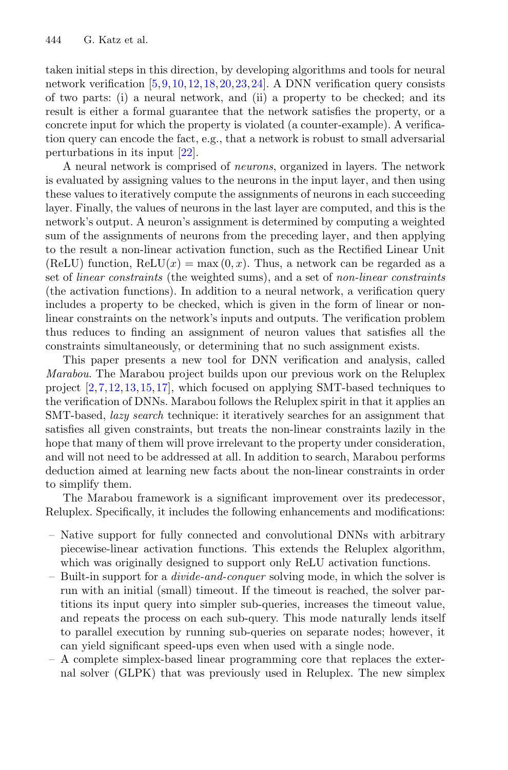taken initial steps in this direction, by developing algorithms and tools for neural network verification [\[5](#page-8-2)[,9](#page-8-3),[10,](#page-8-4)[12](#page-8-5)[,18](#page-9-3)[,20](#page-9-4),[23,](#page-9-5)[24\]](#page-9-6). A DNN verification query consists of two parts: (i) a neural network, and (ii) a property to be checked; and its result is either a formal guarantee that the network satisfies the property, or a concrete input for which the property is violated (a counter-example). A verification query can encode the fact, e.g., that a network is robust to small adversarial perturbations in its input [\[22\]](#page-9-7).

A neural network is comprised of *neurons*, organized in layers. The network is evaluated by assigning values to the neurons in the input layer, and then using these values to iteratively compute the assignments of neurons in each succeeding layer. Finally, the values of neurons in the last layer are computed, and this is the network's output. A neuron's assignment is determined by computing a weighted sum of the assignments of neurons from the preceding layer, and then applying to the result a non-linear activation function, such as the Rectified Linear Unit (ReLU) function,  $ReLU(x) = max(0, x)$ . Thus, a network can be regarded as a set of *linear constraints* (the weighted sums), and a set of *non-linear constraints* (the activation functions). In addition to a neural network, a verification query includes a property to be checked, which is given in the form of linear or nonlinear constraints on the network's inputs and outputs. The verification problem thus reduces to finding an assignment of neuron values that satisfies all the constraints simultaneously, or determining that no such assignment exists.

This paper presents a new tool for DNN verification and analysis, called *Marabou*. The Marabou project builds upon our previous work on the Reluplex project [\[2,](#page-8-6)[7](#page-8-7)[,12,](#page-8-5)[13](#page-9-8)[,15](#page-9-9)[,17](#page-9-10)], which focused on applying SMT-based techniques to the verification of DNNs. Marabou follows the Reluplex spirit in that it applies an SMT-based, *lazy search* technique: it iteratively searches for an assignment that satisfies all given constraints, but treats the non-linear constraints lazily in the hope that many of them will prove irrelevant to the property under consideration, and will not need to be addressed at all. In addition to search, Marabou performs deduction aimed at learning new facts about the non-linear constraints in order to simplify them.

The Marabou framework is a significant improvement over its predecessor, Reluplex. Specifically, it includes the following enhancements and modifications:

- Native support for fully connected and convolutional DNNs with arbitrary piecewise-linear activation functions. This extends the Reluplex algorithm, which was originally designed to support only ReLU activation functions.
- Built-in support for a *divide-and-conquer* solving mode, in which the solver is run with an initial (small) timeout. If the timeout is reached, the solver partitions its input query into simpler sub-queries, increases the timeout value, and repeats the process on each sub-query. This mode naturally lends itself to parallel execution by running sub-queries on separate nodes; however, it can yield significant speed-ups even when used with a single node.
- A complete simplex-based linear programming core that replaces the external solver (GLPK) that was previously used in Reluplex. The new simplex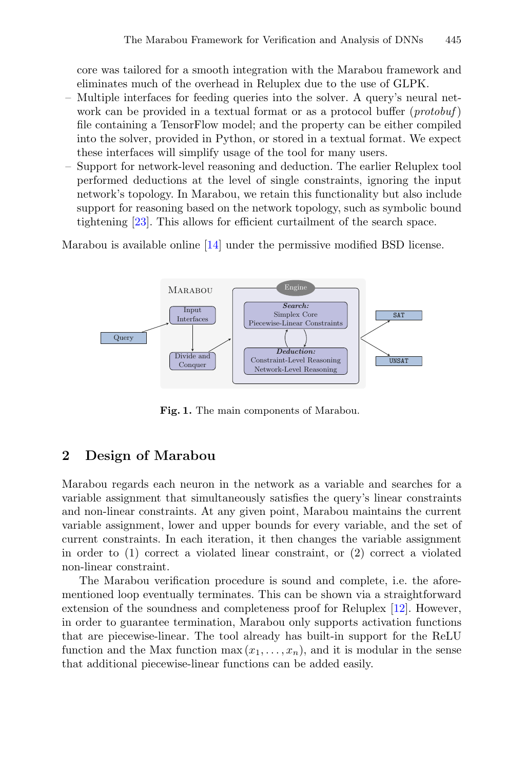core was tailored for a smooth integration with the Marabou framework and eliminates much of the overhead in Reluplex due to the use of GLPK.

- Multiple interfaces for feeding queries into the solver. A query's neural network can be provided in a textual format or as a protocol buffer (*protobuf* ) file containing a TensorFlow model; and the property can be either compiled into the solver, provided in Python, or stored in a textual format. We expect these interfaces will simplify usage of the tool for many users.
- Support for network-level reasoning and deduction. The earlier Reluplex tool performed deductions at the level of single constraints, ignoring the input network's topology. In Marabou, we retain this functionality but also include support for reasoning based on the network topology, such as symbolic bound tightening [\[23\]](#page-9-5). This allows for efficient curtailment of the search space.

Marabou is available online [\[14](#page-9-11)] under the permissive modified BSD license.



<span id="page-2-0"></span>**Fig. 1.** The main components of Marabou.

#### **2 Design of Marabou**

Marabou regards each neuron in the network as a variable and searches for a variable assignment that simultaneously satisfies the query's linear constraints and non-linear constraints. At any given point, Marabou maintains the current variable assignment, lower and upper bounds for every variable, and the set of current constraints. In each iteration, it then changes the variable assignment in order to (1) correct a violated linear constraint, or (2) correct a violated non-linear constraint.

The Marabou verification procedure is sound and complete, i.e. the aforementioned loop eventually terminates. This can be shown via a straightforward extension of the soundness and completeness proof for Reluplex [\[12\]](#page-8-5). However, in order to guarantee termination, Marabou only supports activation functions that are piecewise-linear. The tool already has built-in support for the ReLU function and the Max function max  $(x_1, \ldots, x_n)$ , and it is modular in the sense that additional piecewise-linear functions can be added easily.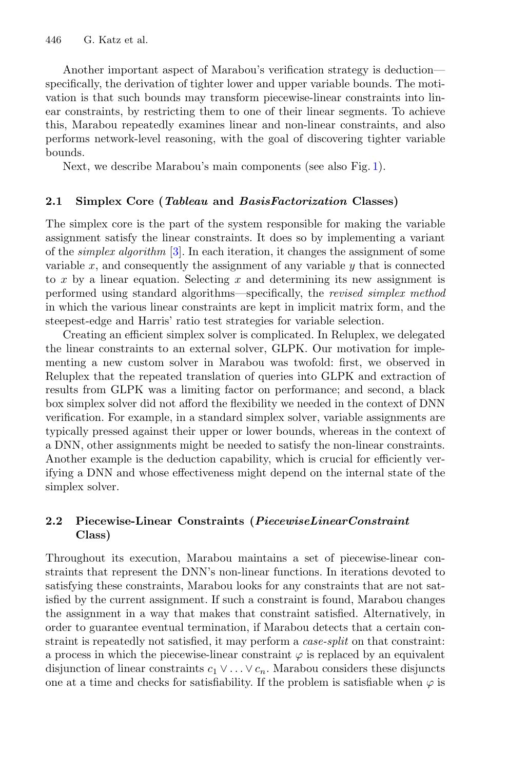Another important aspect of Marabou's verification strategy is deduction specifically, the derivation of tighter lower and upper variable bounds. The motivation is that such bounds may transform piecewise-linear constraints into linear constraints, by restricting them to one of their linear segments. To achieve this, Marabou repeatedly examines linear and non-linear constraints, and also performs network-level reasoning, with the goal of discovering tighter variable bounds.

Next, we describe Marabou's main components (see also Fig. [1\)](#page-2-0).

#### **2.1 Simplex Core (***Tableau* **and** *BasisFactorization* **Classes)**

The simplex core is the part of the system responsible for making the variable assignment satisfy the linear constraints. It does so by implementing a variant of the *simplex algorithm* [\[3\]](#page-8-8). In each iteration, it changes the assignment of some variable  $x$ , and consequently the assignment of any variable  $y$  that is connected to x by a linear equation. Selecting x and determining its new assignment is performed using standard algorithms—specifically, the *revised simplex method* in which the various linear constraints are kept in implicit matrix form, and the steepest-edge and Harris' ratio test strategies for variable selection.

Creating an efficient simplex solver is complicated. In Reluplex, we delegated the linear constraints to an external solver, GLPK. Our motivation for implementing a new custom solver in Marabou was twofold: first, we observed in Reluplex that the repeated translation of queries into GLPK and extraction of results from GLPK was a limiting factor on performance; and second, a black box simplex solver did not afford the flexibility we needed in the context of DNN verification. For example, in a standard simplex solver, variable assignments are typically pressed against their upper or lower bounds, whereas in the context of a DNN, other assignments might be needed to satisfy the non-linear constraints. Another example is the deduction capability, which is crucial for efficiently verifying a DNN and whose effectiveness might depend on the internal state of the simplex solver.

#### **2.2 Piecewise-Linear Constraints (***PiecewiseLinearConstraint* **Class)**

Throughout its execution, Marabou maintains a set of piecewise-linear constraints that represent the DNN's non-linear functions. In iterations devoted to satisfying these constraints, Marabou looks for any constraints that are not satisfied by the current assignment. If such a constraint is found, Marabou changes the assignment in a way that makes that constraint satisfied. Alternatively, in order to guarantee eventual termination, if Marabou detects that a certain constraint is repeatedly not satisfied, it may perform a *case-split* on that constraint: a process in which the piecewise-linear constraint  $\varphi$  is replaced by an equivalent disjunction of linear constraints  $c_1 \vee \ldots \vee c_n$ . Marabou considers these disjuncts one at a time and checks for satisfiability. If the problem is satisfiable when  $\varphi$  is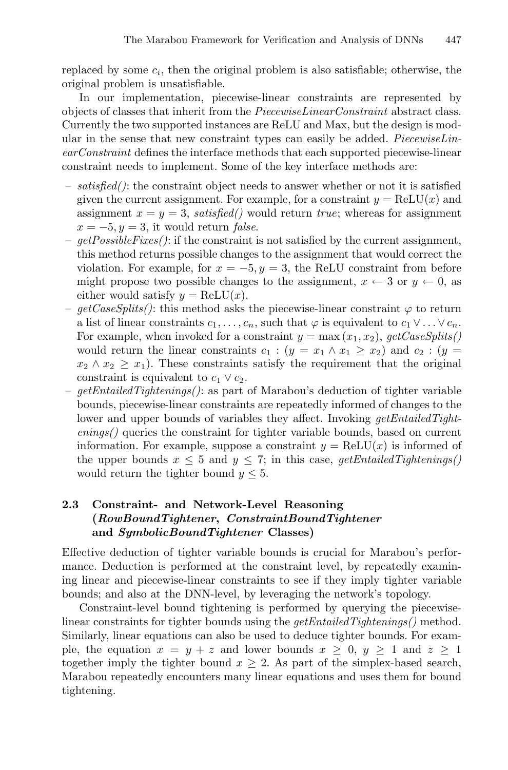replaced by some  $c_i$ , then the original problem is also satisfiable; otherwise, the original problem is unsatisfiable.

In our implementation, piecewise-linear constraints are represented by objects of classes that inherit from the *PiecewiseLinearConstraint* abstract class. Currently the two supported instances are ReLU and Max, but the design is modular in the sense that new constraint types can easily be added. *PiecewiseLinearConstraint* defines the interface methods that each supported piecewise-linear constraint needs to implement. Some of the key interface methods are:

- *satisfied()*: the constraint object needs to answer whether or not it is satisfied given the current assignment. For example, for a constraint  $y = \text{ReLU}(x)$  and assignment  $x = y = 3$ , *satisfied()* would return *true*; whereas for assignment  $x = -5, y = 3$ , it would return *false*.
- *getPossibleFixes()*: if the constraint is not satisfied by the current assignment, this method returns possible changes to the assignment that would correct the violation. For example, for  $x = -5, y = 3$ , the ReLU constraint from before might propose two possible changes to the assignment,  $x \leftarrow 3$  or  $y \leftarrow 0$ , as either would satisfy  $y = \text{ReLU}(x)$ .
- $-\text{getCaseSplits}$ ): this method asks the piecewise-linear constraint  $\varphi$  to return a list of linear constraints  $c_1, \ldots, c_n$ , such that  $\varphi$  is equivalent to  $c_1 \vee \ldots \vee c_n$ . For example, when invoked for a constraint  $y = \max(x_1, x_2)$ ,  $getCaseSplits()$ would return the linear constraints  $c_1$ :  $(y = x_1 \wedge x_1 \ge x_2)$  and  $c_2$ :  $(y = x_1 \wedge x_1 \ge x_2)$  $x_2 \wedge x_2 \geq x_1$ ). These constraints satisfy the requirement that the original constraint is equivalent to  $c_1 \vee c_2$ .
- *getEntailedTightenings()*: as part of Marabou's deduction of tighter variable bounds, piecewise-linear constraints are repeatedly informed of changes to the lower and upper bounds of variables they affect. Invoking *getEntailedTightenings()* queries the constraint for tighter variable bounds, based on current information. For example, suppose a constraint  $y = \text{ReLU}(x)$  is informed of the upper bounds  $x \leq 5$  and  $y \leq 7$ ; in this case, *getEntailedTightenings()* would return the tighter bound  $y \leq 5$ .

#### **2.3 Constraint- and Network-Level Reasoning (***RowBoundTightener***,** *ConstraintBoundTightener* **and** *SymbolicBoundTightener* **Classes)**

Effective deduction of tighter variable bounds is crucial for Marabou's performance. Deduction is performed at the constraint level, by repeatedly examining linear and piecewise-linear constraints to see if they imply tighter variable bounds; and also at the DNN-level, by leveraging the network's topology.

Constraint-level bound tightening is performed by querying the piecewiselinear constraints for tighter bounds using the *getEntailedTightenings()* method. Similarly, linear equations can also be used to deduce tighter bounds. For example, the equation  $x = y + z$  and lower bounds  $x \geq 0, y \geq 1$  and  $z \geq 1$ together imply the tighter bound  $x > 2$ . As part of the simplex-based search, Marabou repeatedly encounters many linear equations and uses them for bound tightening.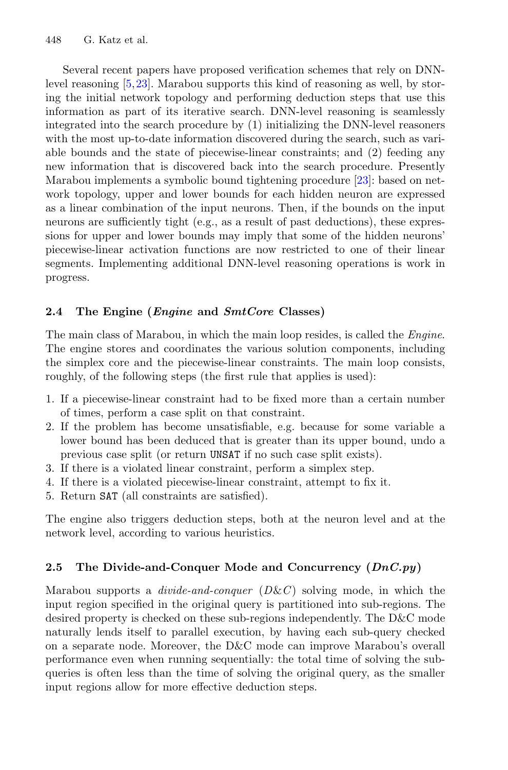Several recent papers have proposed verification schemes that rely on DNNlevel reasoning [\[5,](#page-8-2)[23\]](#page-9-5). Marabou supports this kind of reasoning as well, by storing the initial network topology and performing deduction steps that use this information as part of its iterative search. DNN-level reasoning is seamlessly integrated into the search procedure by (1) initializing the DNN-level reasoners with the most up-to-date information discovered during the search, such as variable bounds and the state of piecewise-linear constraints; and (2) feeding any new information that is discovered back into the search procedure. Presently Marabou implements a symbolic bound tightening procedure [\[23\]](#page-9-5): based on network topology, upper and lower bounds for each hidden neuron are expressed as a linear combination of the input neurons. Then, if the bounds on the input neurons are sufficiently tight (e.g., as a result of past deductions), these expressions for upper and lower bounds may imply that some of the hidden neurons' piecewise-linear activation functions are now restricted to one of their linear segments. Implementing additional DNN-level reasoning operations is work in progress.

#### **2.4 The Engine (***Engine* **and** *SmtCore* **Classes)**

The main class of Marabou, in which the main loop resides, is called the *Engine*. The engine stores and coordinates the various solution components, including the simplex core and the piecewise-linear constraints. The main loop consists, roughly, of the following steps (the first rule that applies is used):

- 1. If a piecewise-linear constraint had to be fixed more than a certain number of times, perform a case split on that constraint.
- 2. If the problem has become unsatisfiable, e.g. because for some variable a lower bound has been deduced that is greater than its upper bound, undo a previous case split (or return UNSAT if no such case split exists).
- 3. If there is a violated linear constraint, perform a simplex step.
- 4. If there is a violated piecewise-linear constraint, attempt to fix it.
- 5. Return SAT (all constraints are satisfied).

The engine also triggers deduction steps, both at the neuron level and at the network level, according to various heuristics.

## **2.5 The Divide-and-Conquer Mode and Concurrency (***DnC.py***)**

Marabou supports a *divide-and-conquer* (*D*&*C* ) solving mode, in which the input region specified in the original query is partitioned into sub-regions. The desired property is checked on these sub-regions independently. The D&C mode naturally lends itself to parallel execution, by having each sub-query checked on a separate node. Moreover, the D&C mode can improve Marabou's overall performance even when running sequentially: the total time of solving the subqueries is often less than the time of solving the original query, as the smaller input regions allow for more effective deduction steps.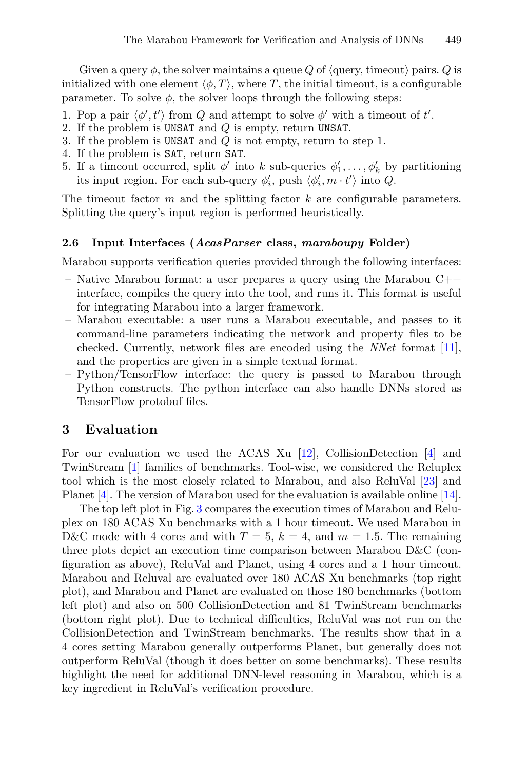Given a query  $\phi$ , the solver maintains a queue Q of  $\langle$  query, timeout $\rangle$  pairs. Q is initialized with one element  $\langle \phi, T \rangle$ , where T, the initial timeout, is a configurable parameter. To solve  $\phi$ , the solver loops through the following steps:

- 1. Pop a pair  $\langle \phi', t' \rangle$  from Q and attempt to solve  $\phi'$  with a timeout of t'.
- 2. If the problem is UNSAT and Q is empty, return UNSAT.
- 3. If the problem is UNSAT and Q is not empty, return to step 1.
- 4. If the problem is SAT, return SAT.
- 5. If a timeout occurred, split  $\phi'$  into k sub-queries  $\phi'_1, \ldots, \phi'_k$  by partitioning its input region. For each sub-query  $\phi'_i$ , push  $\langle \phi'_i, m \cdot t' \rangle$  into  $Q$ .

The timeout factor  $m$  and the splitting factor  $k$  are configurable parameters. Splitting the query's input region is performed heuristically.

#### **2.6 Input Interfaces (***AcasParser* **class,** *maraboupy* **Folder)**

Marabou supports verification queries provided through the following interfaces:

- Native Marabou format: a user prepares a query using the Marabou  $C_{++}$ interface, compiles the query into the tool, and runs it. This format is useful for integrating Marabou into a larger framework.
- Marabou executable: a user runs a Marabou executable, and passes to it command-line parameters indicating the network and property files to be checked. Currently, network files are encoded using the *NNet* format [\[11\]](#page-8-9), and the properties are given in a simple textual format.
- Python/TensorFlow interface: the query is passed to Marabou through Python constructs. The python interface can also handle DNNs stored as TensorFlow protobuf files.

## **3 Evaluation**

For our evaluation we used the ACAS Xu [\[12\]](#page-8-5), CollisionDetection [\[4\]](#page-8-10) and TwinStream [\[1\]](#page-8-11) families of benchmarks. Tool-wise, we considered the Reluplex tool which is the most closely related to Marabou, and also ReluVal [\[23](#page-9-5)] and Planet [\[4](#page-8-10)]. The version of Marabou used for the evaluation is available online [\[14\]](#page-9-11).

The top left plot in Fig. [3](#page-7-0) compares the execution times of Marabou and Reluplex on 180 ACAS Xu benchmarks with a 1 hour timeout. We used Marabou in D&C mode with 4 cores and with  $T = 5$ ,  $k = 4$ , and  $m = 1.5$ . The remaining three plots depict an execution time comparison between Marabou D&C (configuration as above), ReluVal and Planet, using 4 cores and a 1 hour timeout. Marabou and Reluval are evaluated over 180 ACAS Xu benchmarks (top right plot), and Marabou and Planet are evaluated on those 180 benchmarks (bottom left plot) and also on 500 CollisionDetection and 81 TwinStream benchmarks (bottom right plot). Due to technical difficulties, ReluVal was not run on the CollisionDetection and TwinStream benchmarks. The results show that in a 4 cores setting Marabou generally outperforms Planet, but generally does not outperform ReluVal (though it does better on some benchmarks). These results highlight the need for additional DNN-level reasoning in Marabou, which is a key ingredient in ReluVal's verification procedure.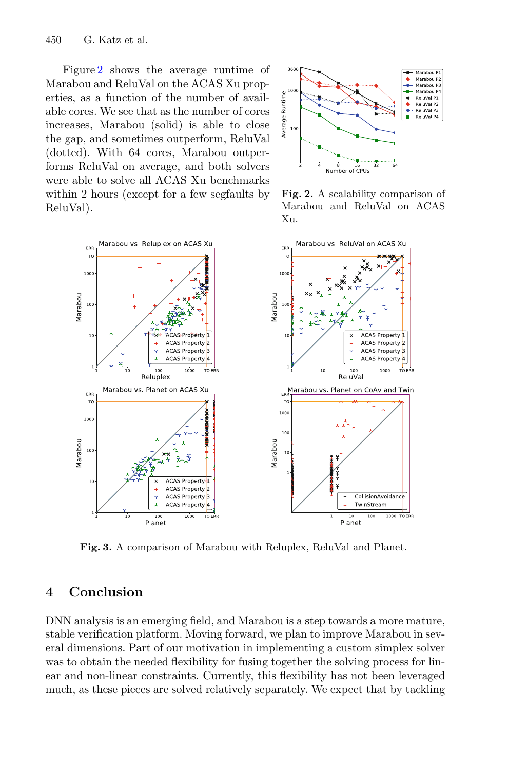Figure [2](#page-7-1) shows the average runtime of Marabou and ReluVal on the ACAS Xu properties, as a function of the number of available cores. We see that as the number of cores increases, Marabou (solid) is able to close the gap, and sometimes outperform, ReluVal (dotted). With 64 cores, Marabou outperforms ReluVal on average, and both solvers were able to solve all ACAS Xu benchmarks within 2 hours (except for a few segfaults by ReluVal).



<span id="page-7-1"></span>**Fig. 2.** A scalability comparison of Marabou and ReluVal on ACAS Xu.



<span id="page-7-0"></span>**Fig. 3.** A comparison of Marabou with Reluplex, ReluVal and Planet.

## **4 Conclusion**

DNN analysis is an emerging field, and Marabou is a step towards a more mature, stable verification platform. Moving forward, we plan to improve Marabou in several dimensions. Part of our motivation in implementing a custom simplex solver was to obtain the needed flexibility for fusing together the solving process for linear and non-linear constraints. Currently, this flexibility has not been leveraged much, as these pieces are solved relatively separately. We expect that by tackling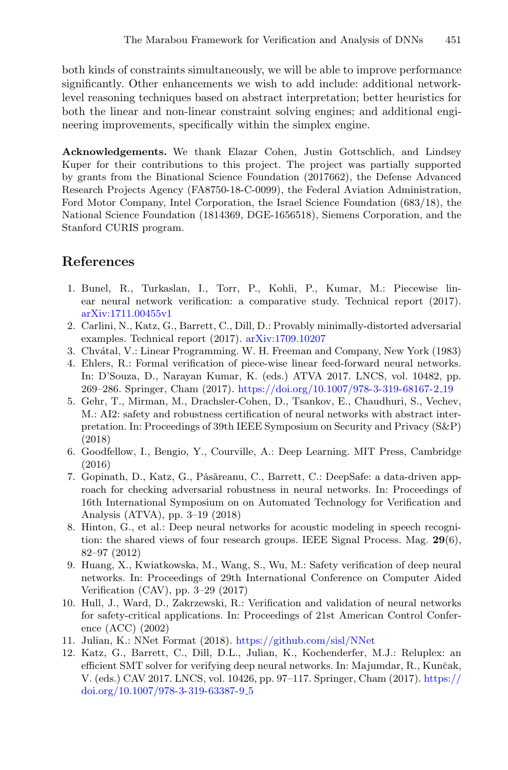both kinds of constraints simultaneously, we will be able to improve performance significantly. Other enhancements we wish to add include: additional networklevel reasoning techniques based on abstract interpretation; better heuristics for both the linear and non-linear constraint solving engines; and additional engineering improvements, specifically within the simplex engine.

**Acknowledgements.** We thank Elazar Cohen, Justin Gottschlich, and Lindsey Kuper for their contributions to this project. The project was partially supported by grants from the Binational Science Foundation (2017662), the Defense Advanced Research Projects Agency (FA8750-18-C-0099), the Federal Aviation Administration, Ford Motor Company, Intel Corporation, the Israel Science Foundation (683/18), the National Science Foundation (1814369, DGE-1656518), Siemens Corporation, and the Stanford CURIS program.

# **References**

- <span id="page-8-11"></span>1. Bunel, R., Turkaslan, I., Torr, P., Kohli, P., Kumar, M.: Piecewise linear neural network verification: a comparative study. Technical report (2017). [arXiv:1711.00455v1](http://arxiv.org/abs/1711.00455v1)
- <span id="page-8-6"></span>2. Carlini, N., Katz, G., Barrett, C., Dill, D.: Provably minimally-distorted adversarial examples. Technical report (2017). [arXiv:1709.10207](http://arxiv.org/abs/1709.10207)
- <span id="page-8-8"></span>3. Chv´atal, V.: Linear Programming. W. H. Freeman and Company, New York (1983)
- <span id="page-8-10"></span>4. Ehlers, R.: Formal verification of piece-wise linear feed-forward neural networks. In: D'Souza, D., Narayan Kumar, K. (eds.) ATVA 2017. LNCS, vol. 10482, pp. 269–286. Springer, Cham (2017). [https://doi.org/10.1007/978-3-319-68167-2](https://doi.org/10.1007/978-3-319-68167-2_19) 19
- <span id="page-8-2"></span>5. Gehr, T., Mirman, M., Drachsler-Cohen, D., Tsankov, E., Chaudhuri, S., Vechev, M.: AI2: safety and robustness certification of neural networks with abstract interpretation. In: Proceedings of 39th IEEE Symposium on Security and Privacy (S&P) (2018)
- <span id="page-8-0"></span>6. Goodfellow, I., Bengio, Y., Courville, A.: Deep Learning. MIT Press, Cambridge (2016)
- <span id="page-8-7"></span>7. Gopinath, D., Katz, G., Păsăreanu, C., Barrett, C.: DeepSafe: a data-driven approach for checking adversarial robustness in neural networks. In: Proceedings of 16th International Symposium on on Automated Technology for Verification and Analysis (ATVA), pp. 3–19 (2018)
- <span id="page-8-1"></span>8. Hinton, G., et al.: Deep neural networks for acoustic modeling in speech recognition: the shared views of four research groups. IEEE Signal Process. Mag. **29**(6), 82–97 (2012)
- <span id="page-8-3"></span>9. Huang, X., Kwiatkowska, M., Wang, S., Wu, M.: Safety verification of deep neural networks. In: Proceedings of 29th International Conference on Computer Aided Verification (CAV), pp. 3–29 (2017)
- <span id="page-8-4"></span>10. Hull, J., Ward, D., Zakrzewski, R.: Verification and validation of neural networks for safety-critical applications. In: Proceedings of 21st American Control Conference (ACC) (2002)
- <span id="page-8-9"></span>11. Julian, K.: NNet Format (2018). <https://github.com/sisl/NNet>
- <span id="page-8-5"></span>12. Katz, G., Barrett, C., Dill, D.L., Julian, K., Kochenderfer, M.J.: Reluplex: an efficient SMT solver for verifying deep neural networks. In: Majumdar, R., Kunčak, V. (eds.) CAV 2017. LNCS, vol. 10426, pp. 97–117. Springer, Cham (2017). [https://](https://doi.org/10.1007/978-3-319-63387-9_5) [doi.org/10.1007/978-3-319-63387-9](https://doi.org/10.1007/978-3-319-63387-9_5) 5